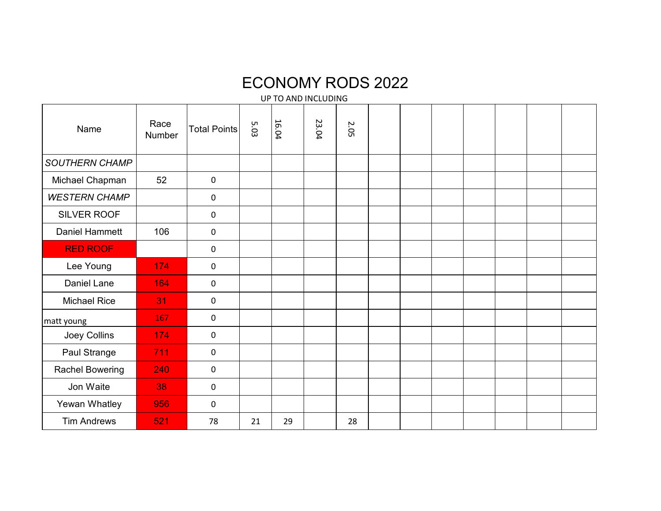## ECONOMY RODS 2022

UP TO AND INCLUDING

| Name                   | Race<br>Number | <b>Total Points</b> | 5.03 | 16.04 | 23.04 | <b>2.05</b> |  |  |  |  |
|------------------------|----------------|---------------------|------|-------|-------|-------------|--|--|--|--|
| <b>SOUTHERN CHAMP</b>  |                |                     |      |       |       |             |  |  |  |  |
| Michael Chapman        | 52             | $\mathbf 0$         |      |       |       |             |  |  |  |  |
| <b>WESTERN CHAMP</b>   |                | 0                   |      |       |       |             |  |  |  |  |
| SILVER ROOF            |                | $\mathbf 0$         |      |       |       |             |  |  |  |  |
| Daniel Hammett         | 106            | $\mathbf 0$         |      |       |       |             |  |  |  |  |
| <b>RED ROOF</b>        |                | $\mathbf 0$         |      |       |       |             |  |  |  |  |
| Lee Young              | 174            | $\mathbf 0$         |      |       |       |             |  |  |  |  |
| Daniel Lane            | 164            | $\mathbf 0$         |      |       |       |             |  |  |  |  |
| Michael Rice           | 31             | $\mathbf 0$         |      |       |       |             |  |  |  |  |
| matt young             | 167            | $\mathbf 0$         |      |       |       |             |  |  |  |  |
| Joey Collins           | 174            | $\mathbf 0$         |      |       |       |             |  |  |  |  |
| Paul Strange           | 711            | $\mathbf 0$         |      |       |       |             |  |  |  |  |
| <b>Rachel Bowering</b> | 240            | $\mathbf 0$         |      |       |       |             |  |  |  |  |
| Jon Waite              | 38             | $\mathbf 0$         |      |       |       |             |  |  |  |  |
| Yewan Whatley          | 956            | $\mathbf 0$         |      |       |       |             |  |  |  |  |
| <b>Tim Andrews</b>     | 521            | 78                  | 21   | 29    |       | 28          |  |  |  |  |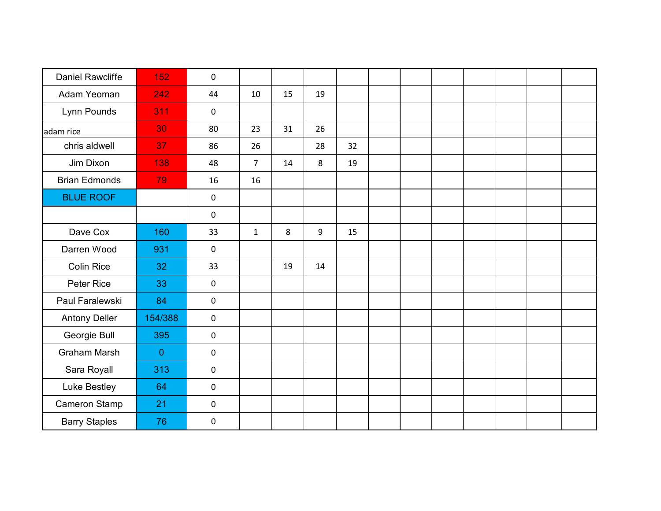| <b>Daniel Rawcliffe</b> | 152            | 0                   |                |    |    |    |  |  |  |  |
|-------------------------|----------------|---------------------|----------------|----|----|----|--|--|--|--|
| Adam Yeoman             | 242            | 44                  | 10             | 15 | 19 |    |  |  |  |  |
| Lynn Pounds             | 311            | 0                   |                |    |    |    |  |  |  |  |
| adam rice               | 30             | 80                  | 23             | 31 | 26 |    |  |  |  |  |
| chris aldwell           | 37             | 86                  | 26             |    | 28 | 32 |  |  |  |  |
| Jim Dixon               | 138            | 48                  | $\overline{7}$ | 14 | 8  | 19 |  |  |  |  |
| <b>Brian Edmonds</b>    | 79             | 16                  | 16             |    |    |    |  |  |  |  |
| <b>BLUE ROOF</b>        |                | 0                   |                |    |    |    |  |  |  |  |
|                         |                | 0                   |                |    |    |    |  |  |  |  |
| Dave Cox                | 160            | 33                  | $\mathbf{1}$   | 8  | 9  | 15 |  |  |  |  |
| Darren Wood             | 931            | 0                   |                |    |    |    |  |  |  |  |
| <b>Colin Rice</b>       | 32             | 33                  |                | 19 | 14 |    |  |  |  |  |
| Peter Rice              | 33             | 0                   |                |    |    |    |  |  |  |  |
| Paul Faralewski         | 84             | 0                   |                |    |    |    |  |  |  |  |
| <b>Antony Deller</b>    | 154/388        | $\mathsf{O}\xspace$ |                |    |    |    |  |  |  |  |
| Georgie Bull            | 395            | $\mathsf{O}\xspace$ |                |    |    |    |  |  |  |  |
| <b>Graham Marsh</b>     | $\overline{0}$ | 0                   |                |    |    |    |  |  |  |  |
| Sara Royall             | 313            | 0                   |                |    |    |    |  |  |  |  |
| Luke Bestley            | 64             | $\mathsf{O}\xspace$ |                |    |    |    |  |  |  |  |
| Cameron Stamp           | 21             | 0                   |                |    |    |    |  |  |  |  |
| <b>Barry Staples</b>    | 76             | 0                   |                |    |    |    |  |  |  |  |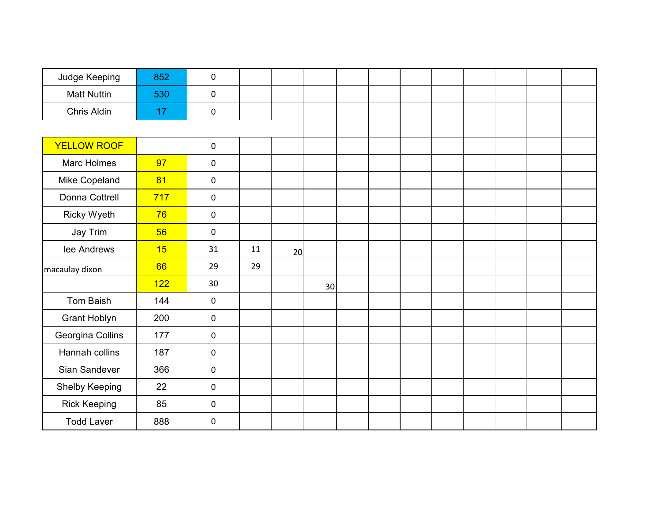| Judge Keeping       | 852 | 0         |    |    |    |  |  |  |  |
|---------------------|-----|-----------|----|----|----|--|--|--|--|
| <b>Matt Nuttin</b>  | 530 | $\pmb{0}$ |    |    |    |  |  |  |  |
| Chris Aldin         | 17  | 0         |    |    |    |  |  |  |  |
|                     |     |           |    |    |    |  |  |  |  |
| <b>YELLOW ROOF</b>  |     | 0         |    |    |    |  |  |  |  |
| <b>Marc Holmes</b>  | 97  | 0         |    |    |    |  |  |  |  |
| Mike Copeland       | 81  | 0         |    |    |    |  |  |  |  |
| Donna Cottrell      | 717 | 0         |    |    |    |  |  |  |  |
| Ricky Wyeth         | 76  | 0         |    |    |    |  |  |  |  |
| Jay Trim            | 56  | 0         |    |    |    |  |  |  |  |
| lee Andrews         | 15  | 31        | 11 | 20 |    |  |  |  |  |
| macaulay dixon      | 66  | 29        | 29 |    |    |  |  |  |  |
|                     | 122 | 30        |    |    | 30 |  |  |  |  |
| Tom Baish           | 144 | 0         |    |    |    |  |  |  |  |
| <b>Grant Hoblyn</b> | 200 | $\pmb{0}$ |    |    |    |  |  |  |  |
| Georgina Collins    | 177 | 0         |    |    |    |  |  |  |  |
| Hannah collins      | 187 | 0         |    |    |    |  |  |  |  |
| Sian Sandever       | 366 | 0         |    |    |    |  |  |  |  |
| Shelby Keeping      | 22  | 0         |    |    |    |  |  |  |  |
| <b>Rick Keeping</b> | 85  | 0         |    |    |    |  |  |  |  |
| <b>Todd Laver</b>   | 888 | 0         |    |    |    |  |  |  |  |